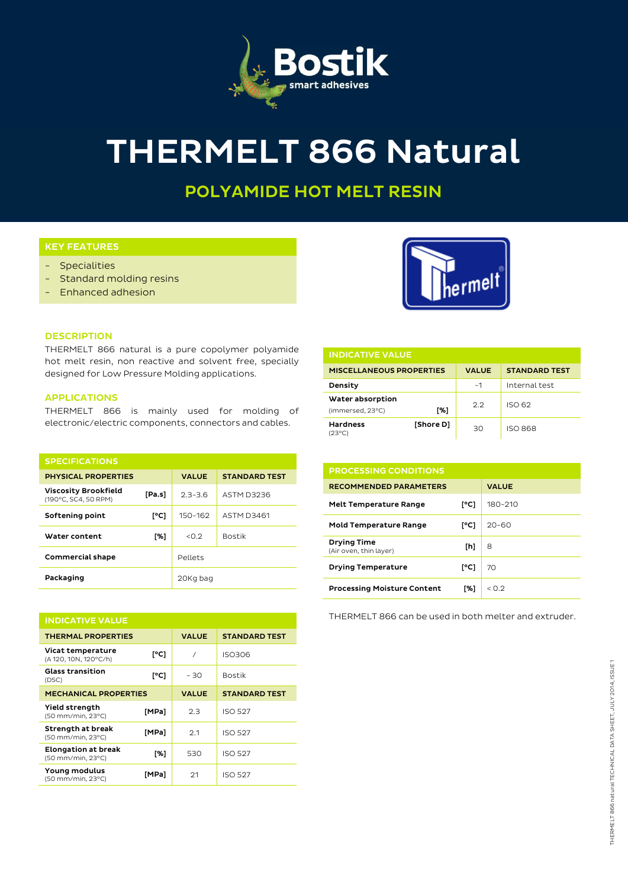

# **THERMELT 866 Natural**

**POLYAMIDE HOT MELT RESIN**

# **KEY FEATURES**

- Specialities
- Standard molding resins
- Enhanced adhesion



### **DESCRIPTION**

THERMELT 866 natural is a pure copolymer polyamide hot melt resin, non reactive and solvent free, specially designed for Low Pressure Molding applications.

### **APPLICATIONS**

THERMELT 866 is mainly used for molding of electronic/electric components, connectors and cables.

| <b>SPECIFICATIONS</b>                               |        |              |                      |  |  |  |
|-----------------------------------------------------|--------|--------------|----------------------|--|--|--|
| <b>PHYSICAL PROPERTIES</b>                          |        | <b>VALUE</b> | <b>STANDARD TEST</b> |  |  |  |
| <b>Viscosity Brookfield</b><br>(190°C, SC4, 50 RPM) | [Pa.s] | $2.3 - 3.6$  | ASTM D3236           |  |  |  |
| Softening point                                     | [°C]   | 150-162      | <b>ASTM D3461</b>    |  |  |  |
| Water content                                       | [%]    | < 0.2        | <b>Bostik</b>        |  |  |  |
| <b>Commercial shape</b>                             |        | Pellets      |                      |  |  |  |
| Packaging                                           |        | 20Kg bag     |                      |  |  |  |

| <b>INDICATIVE VALUE</b>                         |       |              |                      |  |  |  |
|-------------------------------------------------|-------|--------------|----------------------|--|--|--|
| <b>THERMAL PROPERTIES</b>                       |       | <b>VALUE</b> | <b>STANDARD TEST</b> |  |  |  |
| Vicat temperature<br>(A 120, 10N, 120°C/h)      | [°C]  | 7            | <b>ISO306</b>        |  |  |  |
| <b>Glass transition</b><br>(DSC)                | [°C]  | - 30         | <b>Bostik</b>        |  |  |  |
| <b>MECHANICAL PROPERTIES</b>                    |       | <b>VALUE</b> | <b>STANDARD TEST</b> |  |  |  |
| <b>Yield strength</b><br>(50 mm/min, 23°C)      | [MPa] | 2.3          | <b>ISO 527</b>       |  |  |  |
| Strength at break<br>(50 mm/min, 23°C)          | [MPa] | 2.1          | <b>ISO 527</b>       |  |  |  |
| <b>Elongation at break</b><br>(50 mm/min, 23°C) | [%]   | 530          | <b>ISO 527</b>       |  |  |  |
| Young modulus<br>(50 mm/min, 23°C)              | [MPa] | 21           | <b>ISO 527</b>       |  |  |  |

| <b>INDICATIVE VALUE</b>              |           |              |                      |  |  |
|--------------------------------------|-----------|--------------|----------------------|--|--|
| <b>MISCELLANEOUS PROPERTIES</b>      |           | <b>VALUE</b> | <b>STANDARD TEST</b> |  |  |
| Density                              |           | ~1           | Internal test        |  |  |
| Water absorption<br>(immersed, 23°C) | [%]       | 2.2          | ISO 62               |  |  |
| <b>Hardness</b><br>(23°C)            | [Shore D] | 30           | <b>ISO 868</b>       |  |  |

| <b>PROCESSING CONDITIONS</b>                 |      |                      |  |  |
|----------------------------------------------|------|----------------------|--|--|
| <b>RECOMMENDED PARAMETERS</b>                |      | <b>VALUE</b>         |  |  |
| <b>Melt Temperature Range</b>                | [°C] | 180-210              |  |  |
| <b>Mold Temperature Range</b>                | [°C] | $20 - 60$            |  |  |
| <b>Drying Time</b><br>(Air oven, thin layer) | [h]  | 8                    |  |  |
| <b>Drying Temperature</b>                    | [°C] | 70                   |  |  |
| <b>Processing Moisture Content</b>           | [%]  | $\leq$ $\cap$ $\geq$ |  |  |

THERMELT 866 can be used in both melter and extruder.